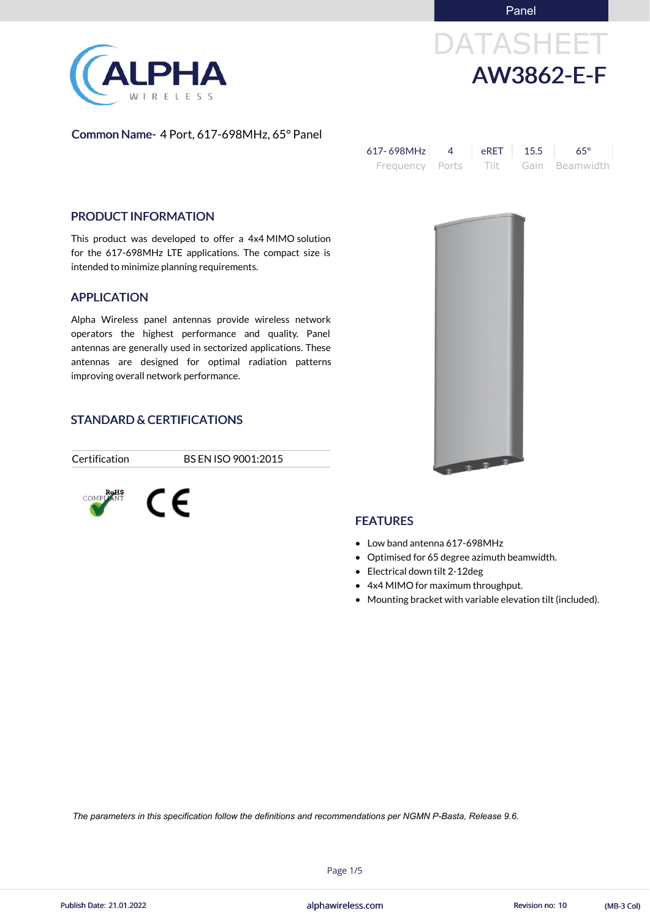Panel

# DATASHEET AW3862-E-F

Common Name- 4 Port, 617-698MHz, 65° Panel

| $617 - 698 MHz$                     | $\parallel$ eRET $\parallel$ 15.5 | $65^{\circ}$ |
|-------------------------------------|-----------------------------------|--------------|
| Frequency Ports Tilt Gain Beamwidth |                                   |              |

#### PRODUCT INFORMATION

This product was developed to offer a 4x4 MIMO solution for the 617-698MHz LTE applications. The compact size is intended to minimize planning requirements.

#### APPLICATION

Alpha Wireless panel antennas provide wireless network operators the highest performance and quality. Panel antennas are generally used in sectorized applications. These antennas are designed for optimal radiation patterns improving overall network performance.

#### STANDARD & CERTIFICATIONS

Certification BS EN ISO 9001:2015





#### **FEATURES**

- Low band antenna 617-698MHz
- Optimised for 65 degree azimuth beamwidth.
- Electrical down tilt 2-12deg
- 4x4 MIMO for maximum throughput.
- Mounting bracket with variable elevation tilt (included).



Page 1/5



*The parameters in this specification follow the definitions and recommendations per NGMN P-Basta, Release 9.6.*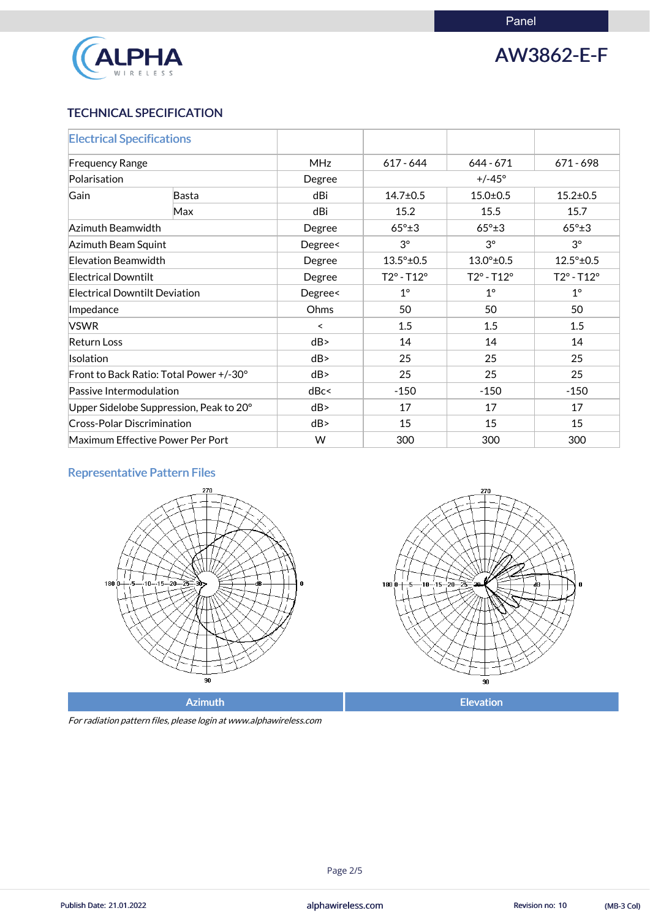

## AW3862-E-F

#### TECHNICAL SPECIFICATION

| <b>Electrical Specifications</b>        |              |            |                            |                            |                            |
|-----------------------------------------|--------------|------------|----------------------------|----------------------------|----------------------------|
| <b>Frequency Range</b>                  |              | <b>MHz</b> | $617 - 644$                | $644 - 671$                | $671 - 698$                |
| Polarisation                            |              | Degree     | $+/-45^{\circ}$            |                            |                            |
| Gain                                    | <b>Basta</b> | dBi        | $14.7 \pm 0.5$             | $15.0 \pm 0.5$             | $15.2 \pm 0.5$             |
|                                         | Max          | dBi        | 15.2                       | 15.5                       | 15.7                       |
| Azimuth Beamwidth                       |              | Degree     | $65^\circ \pm 3$           | $65^\circ \pm 3$           | $65^\circ \pm 3$           |
| Azimuth Beam Squint                     |              | Degree<    | $3^\circ$                  | $3^{\circ}$                | $3^{\circ}$                |
| Elevation Beamwidth                     |              | Degree     | $13.5^{\circ}$ ±0.5        | $13.0^{\circ}$ ±0.5        | $12.5^{\circ}$ ±0.5        |
| <b>Electrical Downtilt</b>              |              | Degree     | $T2^{\circ} - T12^{\circ}$ | $T2^{\circ} - T12^{\circ}$ | $T2^{\circ} - T12^{\circ}$ |
| <b>Electrical Downtilt Deviation</b>    |              | Degree<    | $1^{\circ}$                | $1^{\circ}$                | $1^\circ$                  |
| Impedance                               |              | Ohms       | 50                         | 50                         | 50                         |
| <b>VSWR</b>                             |              | $\prec$    | 1.5                        | 1.5                        | 1.5                        |
| <b>Return Loss</b>                      |              | dB         | 14                         | 14                         | 14                         |
| <b>Isolation</b>                        |              | dB         | 25                         | 25                         | 25                         |
| Front to Back Ratio: Total Power +/-30° |              | dB         | 25                         | 25                         | 25                         |
| Passive Intermodulation                 |              | dBc<       | $-150$                     | $-150$                     | $-150$                     |
| Upper Sidelobe Suppression, Peak to 20° |              | dB         | 17                         | 17                         | 17                         |
| <b>Cross-Polar Discrimination</b>       |              | dB         | 15                         | 15                         | 15                         |
| Maximum Effective Power Per Port        |              | W          | 300                        | 300                        | 300                        |

### Representative Pattern Files





For radiation pattern files, please login at www.alphawireless.com

Page 2/5

alphawireless.com Publish Date: 21.01.2022 Revision no: 10 (MB-3 Col)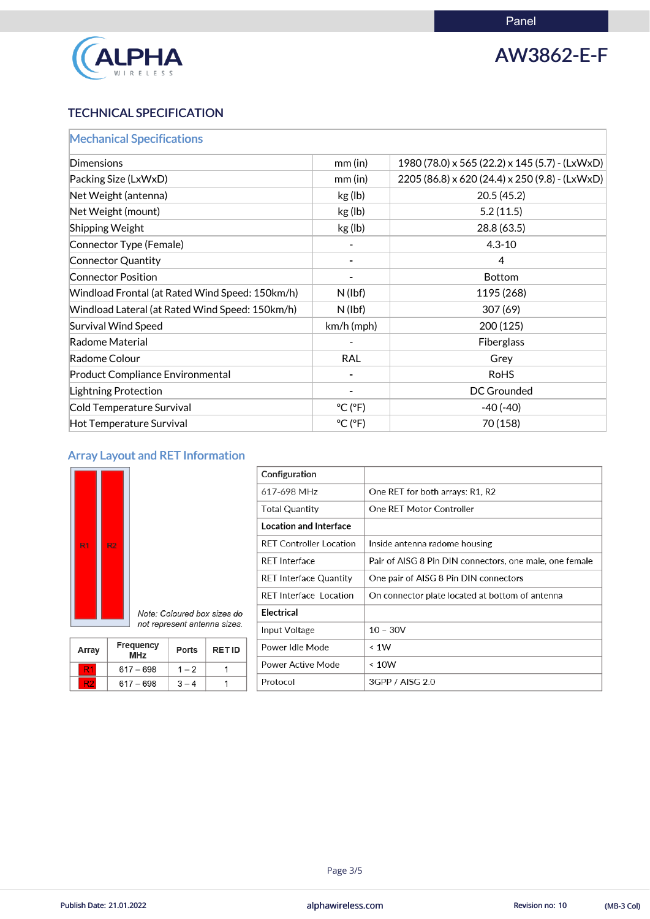

## AW3862-E-F

### TECHNICAL SPECIFICATION

| <b>Mechanical Specifications</b>                |                              |                                                |
|-------------------------------------------------|------------------------------|------------------------------------------------|
| <b>Dimensions</b>                               | mm(in)                       | 1980 (78.0) x 565 (22.2) x 145 (5.7) - (LxWxD) |
| Packing Size (LxWxD)                            | $mm$ (in)                    | 2205 (86.8) x 620 (24.4) x 250 (9.8) - (LxWxD) |
| Net Weight (antenna)                            | kg (lb)                      | 20.5(45.2)                                     |
| Net Weight (mount)                              | kg (lb)                      | 5.2(11.5)                                      |
| <b>Shipping Weight</b>                          | kg(lb)                       | 28.8 (63.5)                                    |
| Connector Type (Female)                         |                              | $4.3 - 10$                                     |
| Connector Quantity                              |                              | 4                                              |
| <b>Connector Position</b>                       |                              | <b>Bottom</b>                                  |
| Windload Frontal (at Rated Wind Speed: 150km/h) | $N$ (lbf)                    | 1195 (268)                                     |
| Windload Lateral (at Rated Wind Speed: 150km/h) | $N$ (lbf)                    | 307(69)                                        |
| <b>Survival Wind Speed</b>                      | $km/h$ (mph)                 | 200(125)                                       |
| Radome Material                                 |                              | <b>Fiberglass</b>                              |
| Radome Colour                                   | <b>RAL</b>                   | Grey                                           |
| <b>Product Compliance Environmental</b>         |                              | <b>RoHS</b>                                    |
| <b>Lightning Protection</b>                     |                              | <b>DC Grounded</b>                             |
| Cold Temperature Survival                       | $^{\circ}$ C ( $^{\circ}$ F) | $-40(-40)$                                     |
| Hot Temperature Survival                        | $^{\circ}$ C ( $^{\circ}$ F) | 70 (158)                                       |

### Array Layout and RET Information

Note: Coloured box sizes do not represent antenna sizes.

Ports

 $1 - 2$ 

 $3 - 4$ 

**RET ID** 

 $\mathbf{1}$ 

 $\mathbf{1}$ 

| $\overline{R1}$ | R2 |  |
|-----------------|----|--|
|                 |    |  |

Array

R<sub>1</sub>

 $R<sub>2</sub>$ 

Frequency<br>MHz

 $617 - 698$ 

 $617 - 698$ 

| Configuration                  |                                                         |
|--------------------------------|---------------------------------------------------------|
| 617-698 MHz                    | One RET for both arrays: R1, R2                         |
| <b>Total Quantity</b>          | One RET Motor Controller                                |
| <b>Location and Interface</b>  |                                                         |
| <b>RET Controller Location</b> | Inside antenna radome housing                           |
| <b>RFT</b> Interface           | Pair of AISG 8 Pin DIN connectors, one male, one female |
| <b>RET Interface Quantity</b>  | One pair of AISG 8 Pin DIN connectors                   |
| <b>RET Interface Location</b>  | On connector plate located at bottom of antenna         |
| <b>Electrical</b>              |                                                         |
| Input Voltage                  | $10 - 30V$                                              |
| Power Idle Mode                | $\leq 1W$                                               |
| <b>Power Active Mode</b>       | ~< 10W                                                  |
| Protocol                       | 3GPP / AISG 2.0                                         |

#### Page 3/5

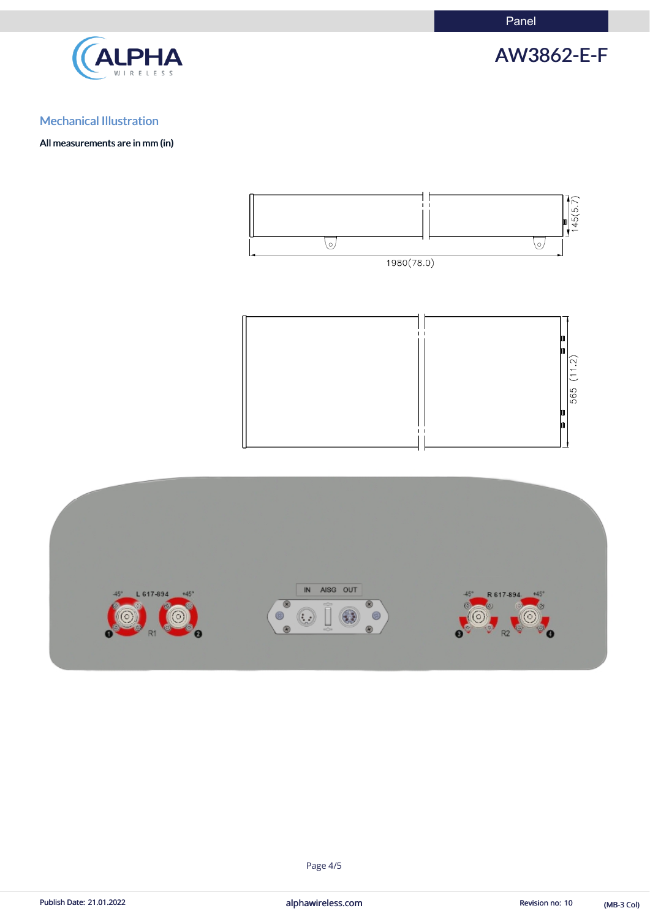Panel



AW3862-E-F

### Mechanical Illustration

All measurements are in mm (in)





#### Page 4/5